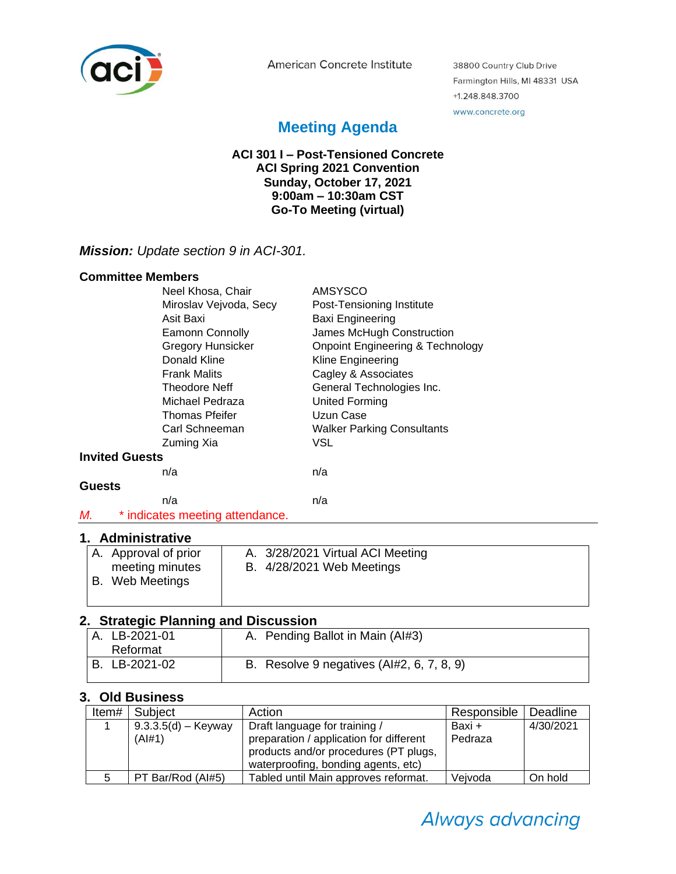

American Concrete Institute

38800 Country Club Drive Farmington Hills, MI 48331 USA +1.248.848.3700 www.concrete.org

# **Meeting Agenda**

#### **ACI 301 I – Post-Tensioned Concrete ACI Spring 2021 Convention Sunday, October 17, 2021 9:00am – 10:30am CST Go-To Meeting (virtual)**

# *Mission: Update section 9 in ACI-301.*

#### **Committee Members**

| Neel Khosa, Chair                     | <b>AMSYSCO</b>                              |
|---------------------------------------|---------------------------------------------|
| Miroslav Vejvoda, Secy                | Post-Tensioning Institute                   |
| Asit Baxi                             | Baxi Engineering                            |
| <b>Eamonn Connolly</b>                | James McHugh Construction                   |
| <b>Gregory Hunsicker</b>              | <b>Onpoint Engineering &amp; Technology</b> |
| Donald Kline                          | Kline Engineering                           |
| <b>Frank Malits</b>                   | Cagley & Associates                         |
| <b>Theodore Neff</b>                  | General Technologies Inc.                   |
| Michael Pedraza                       | <b>United Forming</b>                       |
| <b>Thomas Pfeifer</b>                 | Uzun Case                                   |
| Carl Schneeman                        | <b>Walker Parking Consultants</b>           |
| Zuming Xia                            | VSL                                         |
| <b>Invited Guests</b>                 |                                             |
| n/a                                   | n/a                                         |
| <b>Guests</b>                         |                                             |
| n/a                                   | n/a                                         |
| М.<br>* indicates meeting attendance. |                                             |

#### **1. Administrative**

| A. Approval of prior | A. 3/28/2021 Virtual ACI Meeting |
|----------------------|----------------------------------|
| meeting minutes      | <b>B.</b> 4/28/2021 Web Meetings |
| B. Web Meetings      |                                  |
|                      |                                  |
|                      |                                  |

# **2. Strategic Planning and Discussion**

| A. LB-2021-01 | A. Pending Ballot in Main (Al#3)          |
|---------------|-------------------------------------------|
| Reformat      |                                           |
| B. LB-2021-02 | B. Resolve 9 negatives (Al#2, 6, 7, 8, 9) |
|               |                                           |

#### **3. Old Business**

| Item# | Subject               | Action                                  | Responsible | Deadline  |
|-------|-----------------------|-----------------------------------------|-------------|-----------|
|       | $9.3.3.5(d) -$ Keyway | Draft language for training /           | Baxi +      | 4/30/2021 |
|       | (A #1)                | preparation / application for different | Pedraza     |           |
|       |                       | products and/or procedures (PT plugs,   |             |           |
|       |                       | waterproofing, bonding agents, etc)     |             |           |
|       | PT Bar/Rod (Al#5)     | Tabled until Main approves reformat.    | Veivoda     | On hold   |

# Always advancing